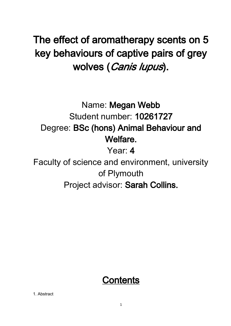# The effect of aromatherapy scents on 5 key behaviours of captive pairs of grey wolves (Canis lupus).

Name: Megan Webb Student number: 10261727 Degree: BSc (hons) Animal Behaviour and Welfare.

Year: 4

Faculty of science and environment, university of Plymouth Project advisor: Sarah Collins.

## **Contents**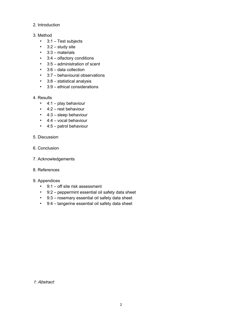- 2. Introduction
- 3. Method
	- 3:1 Test subjects
	- $\cdot$  3:2 study site
	- 3:3 materials
	- 3:4 olfactory conditions
	- 3:5 administration of scent
	- 3:6 data collection
	- 3:7 behavioural observations
	- 3:8 statistical analysis
	- 3:9 ethical considerations
- 4. Results
	- $\blacksquare$  4:1 play behaviour
	- 4:2 rest behaviour
	- 4:3 sleep behaviour
	- 4:4 vocal behaviour
	- 4:5 patrol behaviour
- 5. Discussion
- 6. Conclusion
- 7. Acknowledgements
- 8. References
- 9. Appendices
	- 9:1 off site risk assessment
	- 9:2 peppermint essential oil safety data sheet
	- 9:3 rosemary essential oil safety data sheet
	- 9:4 tangerine essential oil safety data sheet

1: Abstract: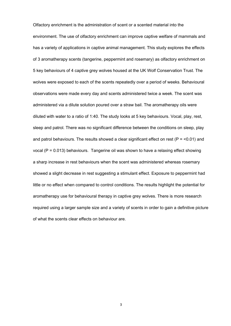Olfactory enrichment is the administration of scent or a scented material into the environment. The use of olfactory enrichment can improve captive welfare of mammals and has a variety of applications in captive animal management. This study explores the effects of 3 aromatherapy scents (tangerine, peppermint and rosemary) as olfactory enrichment on 5 key behaviours of 4 captive grey wolves housed at the UK Wolf Conservation Trust. The wolves were exposed to each of the scents repeatedly over a period of weeks. Behavioural observations were made every day and scents administered twice a week. The scent was administered via a dilute solution poured over a straw bail. The aromatherapy oils were diluted with water to a ratio of 1:40. The study looks at 5 key behaviours. Vocal, play, rest, sleep and patrol. There was no significant difference between the conditions on sleep, play and patrol behaviours. The results showed a clear significant effect on rest ( $P = 0.01$ ) and vocal (P = 0.013) behaviours. Tangerine oil was shown to have a relaxing effect showing a sharp increase in rest behaviours when the scent was administered whereas rosemary showed a slight decrease in rest suggesting a stimulant effect. Exposure to peppermint had little or no effect when compared to control conditions. The results highlight the potential for aromatherapy use for behavioural therapy in captive grey wolves. There is more research required using a larger sample size and a variety of scents in order to gain a definitive picture of what the scents clear effects on behaviour are.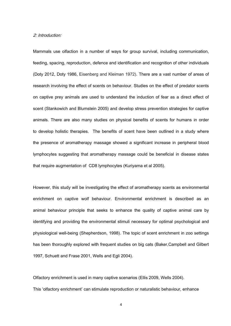#### 2: Introduction:

Mammals use olfaction in a number of ways for group survival, including communication, feeding, spacing, reproduction, defence and identification and recognition of other individuals (Doty 2012, Doty 1986, Eisenberg and Kleiman 1972). There are a vast number of areas of research involving the effect of scents on behaviour. Studies on the effect of predator scents on captive prey animals are used to understand the induction of fear as a direct effect of scent (Stankowich and Blumstein 2005) and develop stress prevention strategies for captive animals. There are also many studies on physical benefits of scents for humans in order to develop holistic therapies. The benefits of scent have been outlined in a study where the presence of aromatherapy massage showed a significant increase in peripheral blood lymphocytes suggesting that aromatherapy massage could be beneficial in disease states that require augmentation of CD8 lymphocytes (Kuriyama et al 2005).

However, this study will be investigating the effect of aromatherapy scents as environmental enrichment on captive wolf behaviour. Environmental enrichment is described as an animal behaviour principle that seeks to enhance the quality of captive animal care by identifying and providing the environmental stimuli necessary for optimal psychological and physiological well-being (Shepherdson, 1998). The topic of scent enrichment in zoo settings has been thoroughly explored with frequent studies on big cats (Baker,Campbell and Gilbert 1997, Schuett and Frase 2001, Wells and Egli 2004).

Olfactory enrichment is used in many captive scenarios (Ellis 2009, Wells 2004). This 'olfactory enrichment' can stimulate reproduction or naturalistic behaviour, enhance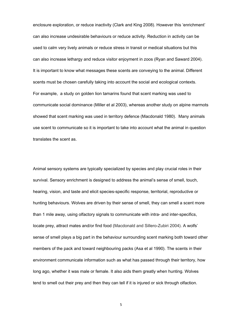enclosure exploration, or reduce inactivity (Clark and King 2008). However this 'enrichment' can also increase undesirable behaviours or reduce activity. Reduction in activity can be used to calm very lively animals or reduce stress in transit or medical situations but this can also increase lethargy and reduce visitor enjoyment in zoos (Ryan and Saward 2004). It is important to know what messages these scents are conveying to the animal. Different scents must be chosen carefully taking into account the social and ecological contexts. For example, a study on golden lion tamarins found that scent marking was used to communicate social dominance (Miller et al 2003), whereas another study on alpine marmots showed that scent marking was used in territory defence (Macdonald 1980). Many animals use scent to communicate so it is important to take into account what the animal in question translates the scent as.

Animal sensory systems are typically specialized by species and play crucial roles in their survival. Sensory enrichment is designed to address the animal's sense of smell, touch, hearing, vision, and taste and elicit species-specific response, territorial, reproductive or hunting behaviours. Wolves are driven by their sense of smell, they can smell a scent more than 1 mile away, using olfactory signals to communicate with intra- and inter-specifics, locate prey, attract mates and/or find food (Macdonald and Sillero-Zubiri 2004). A wolfs' sense of smell plays a big part in the behaviour surrounding scent marking both toward other members of the pack and toward neighbouring packs (Asa et al 1990). The scents in their environment communicate information such as what has passed through their territory, how long ago, whether it was male or female. It also aids them greatly when hunting. Wolves tend to smell out their prey and then they can tell if it is injured or sick through olfaction.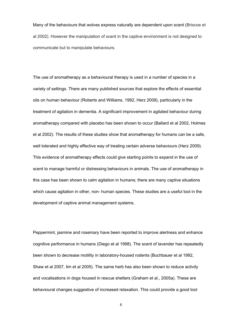Many of the behaviours that wolves express naturally are dependent upon scent (Briscoe et al 2002). However the manipulation of scent in the captive environment is not designed to communicate but to manipulate behaviours.

The use of aromatherapy as a behavioural therapy is used in a number of species in a variety of settings. There are many published sources that explore the effects of essential oils on human behaviour ([Roberts and Williams, 1992](http://www.sciencedirect.com/science/article/pii/S0168159109000057#bib104), Herz 2009), particularly in the treatment of agitation in dementia. A significant improvement in agitated behaviour during aromatherapy compared with placebo has been shown to occur (Ballard et al 2002, Holmes et al 2002). The results of these studies show that aromatherapy for humans can be a safe, well tolerated and highly effective way of treating certain adverse behaviours (Herz 2009). This evidence of aromatherapy effects could give starting points to expand in the use of scent to manage harmful or distressing behaviours in animals. The use of aromatherapy in this case has been shown to calm agitation in humans; there are many captive situations which cause agitation in other, non- human species. These studies are a useful tool in the development of captive animal management systems.

Peppermint, jasmine and rosemary have been reported to improve alertness and enhance cognitive performance in humans (Diego et al 1998). The scent of lavender has repeatedly been shown to decrease motility in laboratory-housed rodents (Buchbauer et al 1992, Shaw et al 2007, lim et al 2005). The same herb has also been shown to reduce activity and vocalisations in dogs housed in rescue shelters (Graham et al., 2005a). These are behavioural changes suggestive of increased relaxation. This could provide a good tool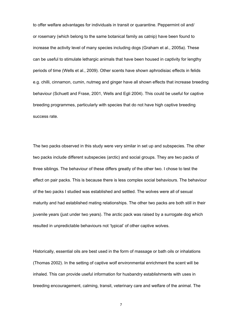to offer welfare advantages for individuals in transit or quarantine. Peppermint oil and/ or rosemary (which belong to the same botanical family as catnip) have been found to increase the activity level of many species including dogs (Graham et al., 2005a). These can be useful to stimulate lethargic animals that have been housed in captivity for lengthy periods of time (Wells et al., 2009). Other scents have shown aphrodisiac effects in felids e.g. chilli, cinnamon, cumin, nutmeg and ginger have all shown effects that increase breeding behaviour (Schuett and Frase, 2001, Wells and Egli 2004). This could be useful for captive breeding programmes, particularly with species that do not have high captive breeding success rate.

The two packs observed in this study were very similar in set up and subspecies. The other two packs include different subspecies (arctic) and social groups. They are two packs of three siblings. The behaviour of these differs greatly of the other two. I chose to test the effect on pair packs. This is because there is less complex social behaviours. The behaviour of the two packs I studied was established and settled. The wolves were all of sexual maturity and had established mating relationships. The other two packs are both still in their juvenile years (just under two years). The arctic pack was raised by a surrogate dog which resulted in unpredictable behaviours not 'typical' of other captive wolves.

Historically, essential oils are best used in the form of massage or bath oils or inhalations (Thomas 2002). In the setting of captive wolf environmental enrichment the scent will be inhaled. This can provide useful information for husbandry establishments with uses in breeding encouragement, calming, transit, veterinary care and welfare of the animal. The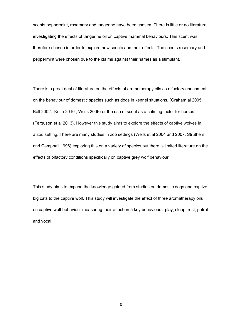scents peppermint, rosemary and tangerine have been chosen. There is little or no literature investigating the effects of tangerine oil on captive mammal behaviours. This scent was therefore chosen in order to explore new scents and their effects. The scents rosemary and peppermint were chosen due to the claims against their names as a stimulant.

There is a great deal of literature on the effects of aromatherapy oils as olfactory enrichment on the behaviour of domestic species such as dogs in kennel situations. (Graham al 2005, Bell 2002, Keith 2010 , Wells 2006) or the use of scent as a calming factor for horses (Ferguson et al 2013). However this study aims to explore the effects of captive wolves in a zoo setting. There are many studies in zoo settings (Wells et al 2004 and 2007, Struthers and Campbell 1996) exploring this on a variety of species but there is limited literature on the effects of olfactory conditions specifically on captive grey wolf behaviour.

This study aims to expand the knowledge gained from studies on domestic dogs and captive big cats to the captive wolf. This study will investigate the effect of three aromatherapy oils on captive wolf behaviour measuring their effect on 5 key behaviours: play, sleep, rest, patrol and vocal.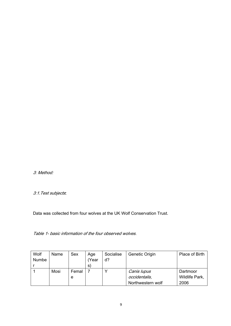3: Method:

3:1.Test subjects:

Data was collected from four wolves at the UK Wolf Conservation Trust.

Table 1- basic information of the four observed wolves.

| Wolf<br><b>Numbe</b> | Name | Sex        | Age<br>(Year<br>S. | Socialise<br>d? | Genetic Origin                                    | Place of Birth                     |
|----------------------|------|------------|--------------------|-----------------|---------------------------------------------------|------------------------------------|
|                      | Mosi | Femal<br>e |                    |                 | Canis lupus<br>occidentalis,<br>Northwestern wolf | Dartmoor<br>Wildlife Park,<br>2006 |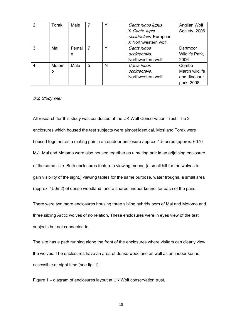| 2 | Torak | Male  |                |   | Canis lupus lupus      | Anglian Wolf    |
|---|-------|-------|----------------|---|------------------------|-----------------|
|   |       |       |                |   | X Canis lupis          | Society, 2006   |
|   |       |       |                |   | occidentalis, European |                 |
|   |       |       |                |   | X Northwestern wolf.   |                 |
| 3 | Mai   | Femal | $\overline{7}$ |   | Canis lupus            | Dartmoor        |
|   |       | e     |                |   | occidentalis,          | Wildlife Park,  |
|   |       |       |                |   | Northwestern wolf      | 2006            |
| 4 | Motom | Male  | 5              | N | Canis lupus            | Combe           |
|   | O     |       |                |   | occidentalis,          | Martin wildlife |
|   |       |       |                |   | Northwestern wolf      | and dinosaur    |
|   |       |       |                |   |                        | park. 2008      |

#### 3:2. Study site:

All research for this study was conducted at the UK Wolf Conservation Trust. The 2 enclosures which housed the test subjects were almost identical. Mosi and Torak were housed together as a mating pair in an outdoor enclosure approx. 1.5 acres (approx. 6070 M<sub>2</sub>). Mai and Motomo were also housed together as a mating pair in an adjoining enclosure of the same size. Both enclosures feature a viewing mound (a small hill for the wolves to gain visibility of the sight,) viewing tables for the same purpose, water troughs, a small area (approx. 150m2) of dense woodland and a shared indoor kennel for each of the pairs.

There were two more enclosures housing three sibling hybrids born of Mai and Motomo and three sibling Arctic wolves of no relation. These enclosures were in eyes view of the test subjects but not connected to.

The site has a path running along the front of the enclosures where visitors can clearly view the wolves. The enclosures have an area of dense woodland as well as an indoor kennel accessible at night time (see fig. 1).

Figure 1 – diagram of enclosures layout at UK Wolf conservation trust.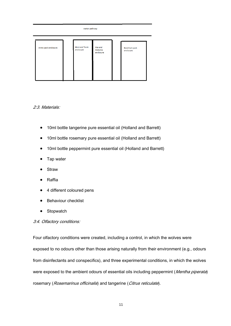### visitor pathway Mosi and Torak Mai and Arctic pack enclosure Beenham pack Motomo<br>enclosure enclosure enclosure

#### 2:3. Materials:

- 10ml bottle tangerine pure essential oil (Holland and Barrett)
- 10ml bottle rosemary pure essential oil (Holland and Barrett)
- 10ml bottle peppermint pure essential oil (Holland and Barrett)
- Tap water
- **Straw**
- **Raffia**
- 4 different coloured pens
- **Behaviour checklist**
- Stopwatch

#### 3:4. Olfactory conditions:

Four olfactory conditions were created, including a control, in which the wolves were exposed to no odours other than those arising naturally from their environment (e.g., odours from disinfectants and conspecifics), and three experimental conditions, in which the wolves were exposed to the ambient odours of essential oils including peppermint (Mentha piperata) rosemary (Rosemarinus officinalis) and tangerine (Citrus reticulate).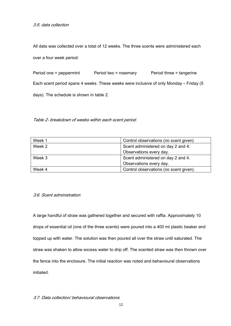All data was collected over a total of 12 weeks. The three scents were administered each over a four week period:

Period one = peppermint Period two = rosemary Period three = tangerine Each scent period spans 4 weeks. These weeks were inclusive of only Monday – Friday (5 days). The schedule is shown in table 2.

Table 2- breakdown of weeks within each scent period.

| Week 1 | Control observations (no scent given)  |
|--------|----------------------------------------|
| Week 2 | Scent administered on day 2 and 4.     |
|        | Observations every day.                |
| Week 3 | Scent administered on day 2 and 4.     |
|        | Observations every day.                |
| Week 4 | Control observations (no scent given). |

#### 3:6. Scent administration:

A large handful of straw was gathered together and secured with raffia. Approximately 10 drops of essential oil (one of the three scents) were poured into a 400 ml plastic beaker and topped up with water. The solution was then poured all over the straw until saturated. The straw was shaken to allow excess water to drip off. The scented straw was then thrown over the fence into the enclosure. The initial reaction was noted and behavioural observations initiated.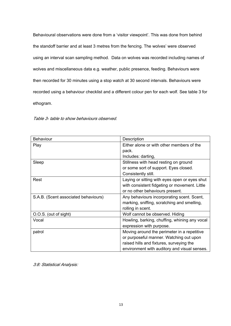Behavioural observations were done from a 'visitor viewpoint'. This was done from behind the standoff barrier and at least 3 metres from the fencing. The wolves' were observed using an interval scan sampling method. Data on wolves was recorded including names of wolves and miscellaneous data e.g. weather, public presence, feeding. Behaviours were then recorded for 30 minutes using a stop watch at 30 second intervals. Behaviours were recorded using a behaviour checklist and a different colour pen for each wolf. See table 3 for ethogram.

Table 3- table to show behaviours observed.

| <b>Behaviour</b>                     | Description                                   |
|--------------------------------------|-----------------------------------------------|
| Play                                 | Either alone or with other members of the     |
|                                      | pack.                                         |
|                                      | Includes: darting,                            |
| Sleep                                | Stillness with head resting on ground         |
|                                      | or some sort of support. Eyes closed.         |
|                                      | Consistently still.                           |
| Rest                                 | Laying or sitting with eyes open or eyes shut |
|                                      | with consistent fidgeting or movement. Little |
|                                      | or no other behaviours present.               |
| S.A.B. (Scent associated behaviours) | Any behaviours incorporating scent. Scent,    |
|                                      | marking, sniffing, scratching and smelling,   |
|                                      | rolling in scent.                             |
| O.O.S. (out of sight)                | Wolf cannot be observed. Hiding               |
| Vocal                                | Howling, barking, chuffing, whining any vocal |
|                                      | expression with purpose.                      |
| patrol                               | Moving around the perimeter in a repetitive   |
|                                      | or purposeful manner. Watching out upon       |
|                                      | raised hills and fixtures, surveying the      |
|                                      | environment with auditory and visual senses.  |

3:8: Statistical Analysis: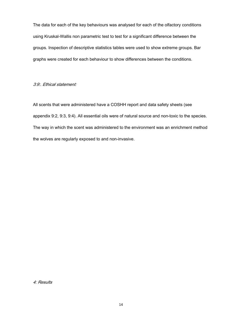The data for each of the key behaviours was analysed for each of the olfactory conditions using Kruskal-Wallis non parametric test to test for a significant difference between the groups. Inspection of descriptive statistics tables were used to show extreme groups. Bar graphs were created for each behaviour to show differences between the conditions.

#### 3:9:. Ethical statement:

All scents that were administered have a COSHH report and data safety sheets (see appendix 9:2, 9:3, 9:4). All essential oils were of natural source and non-toxic to the species. The way in which the scent was administered to the environment was an enrichment method the wolves are regularly exposed to and non-invasive.

4: Results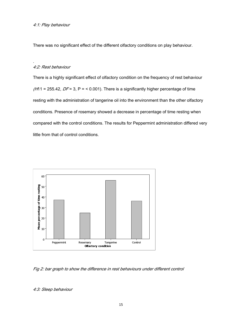There was no significant effect of the different olfactory conditions on play behaviour.

#### 4:2: Rest behaviour

.

There is a highly significant effect of olfactory condition on the frequency of rest behaviour  $(H11 = 255.42, DF = 3, P = 0.001)$ . There is a significantly higher percentage of time resting with the administration of tangerine oil into the environment than the other olfactory conditions. Presence of rosemary showed a decrease in percentage of time resting when compared with the control conditions. The results for Peppermint administration differed very little from that of control conditions.



Fig 2: bar graph to show the difference in rest behaviours under different control

4:3: Sleep behaviour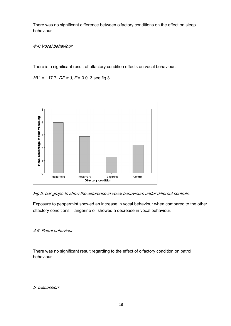There was no significant difference between olfactory conditions on the effect on sleep behaviour.

4:4: Vocal behaviour

There is a significant result of olfactory condition effects on vocal behaviour.

 $H1 = 117.7$ ,  $DF = 3$ ,  $P = 0.013$  see fig 3.



Fig 3: bar graph to show the difference in vocal behaviours under different controls.

Exposure to peppermint showed an increase in vocal behaviour when compared to the other olfactory conditions. Tangerine oil showed a decrease in vocal behaviour.

4:5: Patrol behaviour

There was no significant result regarding to the effect of olfactory condition on patrol behaviour.

5: Discussion: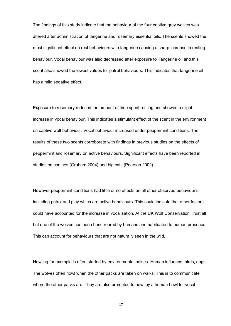The findings of this study indicate that the behaviour of the four captive grey wolves was altered after administration of tangerine and rosemary essential oils. The scents showed the most significant effect on rest behaviours with tangerine causing a sharp increase in resting behaviour, Vocal behaviour was also decreased after exposure to Tangerine oil and this scent also showed the lowest values for patrol behaviours. This indicates that tangerine oil has a mild sedative effect.

Exposure to rosemary reduced the amount of time spent resting and showed a slight increase in vocal behaviour. This indicates a stimulant effect of the scent in the environment on captive wolf behaviour. Vocal behaviour increased under peppermint conditions. The results of these two scents corroborate with findings in previous studies on the effects of peppermint and rosemary on active behaviours. Significant effects have been reported in studies on canines (Graham 2004) and big cats (Pearson 2002).

However peppermint conditions had little or no effects on all other observed behaviour's including patrol and play which are active behaviours. This could indicate that other factors could have accounted for the increase in vocalisation. At the UK Wolf Conservation Trust all but one of the wolves has been hand reared by humans and habituated to human presence. This can account for behaviours that are not naturally seen in the wild.

Howling for example is often started by environmental noises. Human influence, birds, dogs. The wolves often howl when the other packs are taken on walks. This is to communicate where the other packs are. They are also prompted to howl by a human howl for vocal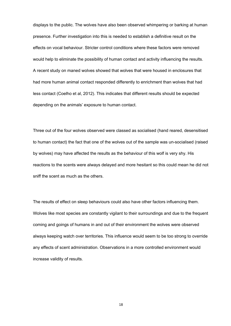displays to the public. The wolves have also been observed whimpering or barking at human presence. Further investigation into this is needed to establish a definitive result on the effects on vocal behaviour. Stricter control conditions where these factors were removed would help to eliminate the possibility of human contact and activity influencing the results. A recent study on maned wolves showed that wolves that were housed in enclosures that had more human animal contact responded differently to enrichment than wolves that had less contact (Coelho et al, 2012). This indicates that different results should be expected depending on the animals' exposure to human contact.

Three out of the four wolves observed were classed as socialised (hand reared, desensitised to human contact) the fact that one of the wolves out of the sample was un-socialised (raised by wolves) may have affected the results as the behaviour of this wolf is very shy. His reactions to the scents were always delayed and more hesitant so this could mean he did not sniff the scent as much as the others.

The results of effect on sleep behaviours could also have other factors influencing them. Wolves like most species are constantly vigilant to their surroundings and due to the frequent coming and goings of humans in and out of their environment the wolves were observed always keeping watch over territories. This influence would seem to be too strong to override any effects of scent administration. Observations in a more controlled environment would increase validity of results.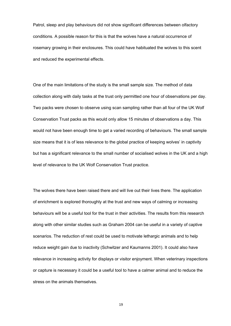Patrol, sleep and play behaviours did not show significant differences between olfactory conditions. A possible reason for this is that the wolves have a natural occurrence of rosemary growing in their enclosures. This could have habituated the wolves to this scent and reduced the experimental effects.

One of the main limitations of the study is the small sample size. The method of data collection along with daily tasks at the trust only permitted one hour of observations per day. Two packs were chosen to observe using scan sampling rather than all four of the UK Wolf Conservation Trust packs as this would only allow 15 minutes of observations a day. This would not have been enough time to get a varied recording of behaviours. The small sample size means that it is of less relevance to the global practice of keeping wolves' in captivity but has a significant relevance to the small number of socialised wolves in the UK and a high level of relevance to the UK Wolf Conservation Trust practice.

The wolves there have been raised there and will live out their lives there. The application of enrichment is explored thoroughly at the trust and new ways of calming or increasing behaviours will be a useful tool for the trust in their activities. The results from this research along with other similar studies such as Graham 2004 can be useful in a variety of captive scenarios. The reduction of rest could be used to motivate lethargic animals and to help reduce weight gain due to inactivity (Schwitzer and Kaumanns 2001). It could also have relevance in increasing activity for displays or visitor enjoyment. When veterinary inspections or capture is necessary it could be a useful tool to have a calmer animal and to reduce the stress on the animals themselves.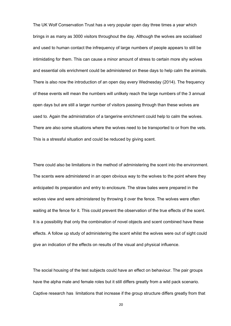The UK Wolf Conservation Trust has a very popular open day three times a year which brings in as many as 3000 visitors throughout the day. Although the wolves are socialised and used to human contact the infrequency of large numbers of people appears to still be intimidating for them. This can cause a minor amount of stress to certain more shy wolves and essential oils enrichment could be administered on these days to help calm the animals. There is also now the introduction of an open day every Wednesday (2014). The frequency of these events will mean the numbers will unlikely reach the large numbers of the 3 annual open days but are still a larger number of visitors passing through than these wolves are used to. Again the administration of a tangerine enrichment could help to calm the wolves. There are also some situations where the wolves need to be transported to or from the vets. This is a stressful situation and could be reduced by giving scent.

There could also be limitations in the method of administering the scent into the environment. The scents were administered in an open obvious way to the wolves to the point where they anticipated its preparation and entry to enclosure. The straw bales were prepared in the wolves view and were administered by throwing it over the fence. The wolves were often waiting at the fence for it. This could prevent the observation of the true effects of the scent. It is a possibility that only the combination of novel objects and scent combined have these effects. A follow up study of administering the scent whilst the wolves were out of sight could give an indication of the effects on results of the visual and physical influence.

The social housing of the test subjects could have an effect on behaviour. The pair groups have the alpha male and female roles but it still differs greatly from a wild pack scenario. Captive research has limitations that increase if the group structure differs greatly from that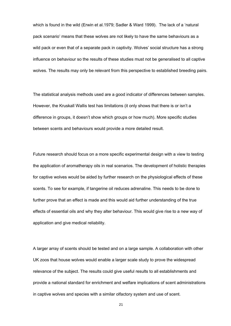which is found in the wild (Erwin et al.1979; Sadler & Ward 1999). The lack of a 'natural pack scenario' means that these wolves are not likely to have the same behaviours as a wild pack or even that of a separate pack in captivity. Wolves' social structure has a strong influence on behaviour so the results of these studies must not be generalised to all captive wolves. The results may only be relevant from this perspective to established breeding pairs.

The statistical analysis methods used are a good indicator of differences between samples. However, the Kruskall Wallis test has limitations (it only shows that there is or isn't a difference in groups, it doesn't show which groups or how much). More specific studies between scents and behaviours would provide a more detailed result.

Future research should focus on a more specific experimental design with a view to testing the application of aromatherapy oils in real scenarios. The development of holistic therapies for captive wolves would be aided by further research on the physiological effects of these scents. To see for example, if tangerine oil reduces adrenaline. This needs to be done to further prove that an effect is made and this would aid further understanding of the true effects of essential oils and why they alter behaviour. This would give rise to a new way of application and give medical reliability.

A larger array of scents should be tested and on a large sample. A collaboration with other UK zoos that house wolves would enable a larger scale study to prove the widespread relevance of the subject. The results could give useful results to all establishments and provide a national standard for enrichment and welfare implications of scent administrations in captive wolves and species with a similar olfactory system and use of scent.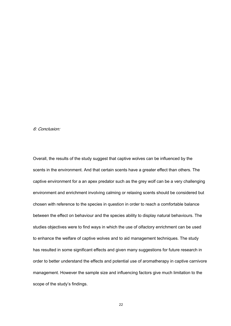#### 6: Conclusion:

Overall, the results of the study suggest that captive wolves can be influenced by the scents in the environment. And that certain scents have a greater effect than others. The captive environment for a an apex predator such as the grey wolf can be a very challenging environment and enrichment involving calming or relaxing scents should be considered but chosen with reference to the species in question in order to reach a comfortable balance between the effect on behaviour and the species ability to display natural behaviours. The studies objectives were to find ways in which the use of olfactory enrichment can be used to enhance the welfare of captive wolves and to aid management techniques. The study has resulted in some significant effects and given many suggestions for future research in order to better understand the effects and potential use of aromatherapy in captive carnivore management. However the sample size and influencing factors give much limitation to the scope of the study's findings.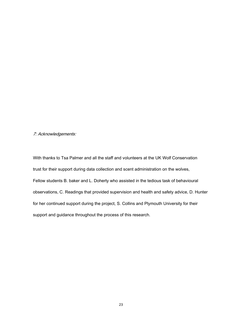7: Acknowledgements:

With thanks to Tsa Palmer and all the staff and volunteers at the UK Wolf Conservation trust for their support during data collection and scent administration on the wolves, Fellow students B. baker and L. Doherty who assisted in the tedious task of behavioural observations, C. Readings that provided supervision and health and safety advice, D. Hunter for her continued support during the project, S. Collins and Plymouth University for their support and guidance throughout the process of this research.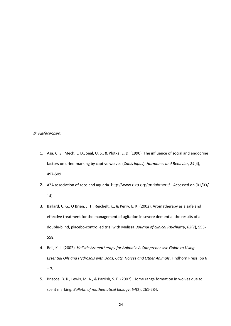#### 8: References:

- 1. Asa, C. S., Mech, L. D., Seal, U. S., & Plotka, E. D. (1990). The influence of social and endocrine factors on urine-marking by captive wolves (*Canis lupus*). *Hormones and Behavior*, *24*(4), 497-509.
- 2. AZA association of zoos and aquaria. <http://www.aza.org/enrichment/>. Accessed on (01/03/ 14).
- 3. Ballard, C. G., O Brien, J. T., Reichelt, K., & Perry, E. K. (2002). Aromatherapy as a safe and effective treatment for the management of agitation in severe dementia: the results of a double-blind, placebo-controlled trial with Melissa. *Journal of clinical Psychiatry*, *63*(7), 553- 558.
- 4. Bell, K. L. (2002). *Holistic Aromatherapy for Animals: A Comprehensive Guide to Using Essential Oils and Hydrosols with Dogs, Cats, Horses and Other Animals*. Findhorn Press. pp 6  $-7.$
- 5. Briscoe, B. K., Lewis, M. A., & Parrish, S. E. (2002). Home range formation in wolves due to scent marking. *Bulletin of mathematical biology*, *64*(2), 261-284.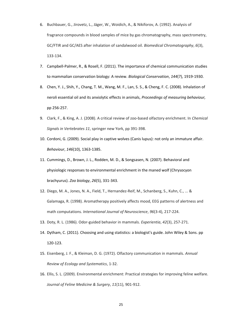- 6. Buchbauer, G., Jirovetz, L., Jäger, W., Woidich, A., & Nikiforov, A. (1992). Analysis of fragrance compounds in blood samples of mice by gas chromatography, mass spectrometry, GC/FTIR and GC/AES after inhalation of sandalwood oil. *Biomedical Chromatography*, *6*(3), 133-134.
- 7. Campbell-Palmer, R., & Rosell, F. (2011). The importance of chemical communication studies to mammalian conservation biology: A review. *Biological Conservation*, *144*(7), 1919-1930.
- 8. Chen, Y. J., Shih, Y., Chang, T. M., Wang, M. F., Lan, S. S., & Cheng, F. C. (2008). Inhalation of neroli essential oil and its anxiolytic effects in animals, *Proceedings of measuring behaviour,* pp 256-257.
- 9. Clark, F., & King, A. J. (2008). A critical review of zoo-based olfactory enrichment. In *Chemical Signals in Vertebrates 11*, springer new York, pp 391-398.
- 10. Cordoni, G. (2009). Social play in captive wolves (Canis lupus): not only an immature affair. *Behaviour*, *146*(10), 1363-1385.
- 11. Cummings, D., Brown, J. L., Rodden, M. D., & Songsasen, N. (2007). Behavioral and physiologic responses to environmental enrichment in the maned wolf (Chrysocyon brachyurus). *Zoo biology*, *26*(5), 331-343.
- 12. Diego, M. A., Jones, N. A., Field, T., Hernandez-Reif, M., Schanberg, S., Kuhn, C., ... & Galamaga, R. (1998). Aromatherapy positively affects mood, EEG patterns of alertness and math computations. *International Journal of Neuroscience*, *96*(3-4), 217-224.
- 13. Doty, R. L. (1986). Odor-guided behavior in mammals. *Experientia*, *42*(3), 257-271.
- 14. Dytham, C. (2011). Choosing and using statistics: a biologist's guide. John Wiley & Sons. pp 120-123.
- 15. Eisenberg, J. F., & Kleiman, D. G. (1972). Olfactory communication in mammals. *Annual Review of Ecology and Systematics*, 1-32.
- 16. Ellis, S. L. (2009). Environmental enrichment: Practical strategies for improving feline welfare. *Journal of Feline Medicine & Surgery*, *11*(11), 901-912.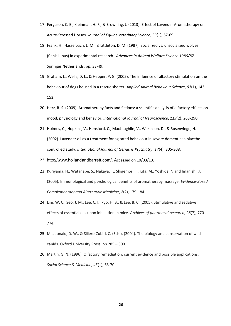- 17. Ferguson, C. E., Kleinman, H. F., & Browning, J. (2013). Effect of Lavender Aromatherapy on Acute-Stressed Horses. *Journal of Equine Veterinary Science*, *33*(1), 67-69.
- 18. Frank, H., Hasselbach, L. M., & Littleton, D. M. (1987). Socialized vs. unsocialized wolves (Canis lupus) in experimental research. *Advances in Animal Welfare Science 1986/87* Springer Netherlands, pp. 33-49.
- 19. Graham, L., Wells, D. L., & Hepper, P. G. (2005). The influence of olfactory stimulation on the behaviour of dogs housed in a rescue shelter. *Applied Animal Behaviour Science*, *91*(1), 143- 153.
- 20. Herz, R. S. (2009). Aromatherapy facts and fictions: a scientific analysis of olfactory effects on mood, physiology and behavior. *International Journal of Neuroscience*, *119*(2), 263-290.
- 21. Holmes, C., Hopkins, V., Hensford, C., MacLaughlin, V., Wilkinson, D., & Rosenvinge, H. (2002). Lavender oil as a treatment for agitated behaviour in severe dementia: a placebo controlled study. *International Journal of Geriatric Psychiatry*, *17*(4), 305-308.
- 22. [http://www.hollandandbarrett.com/.](http://www.hollandandbarrett.com/) Accessed on 10/03/13.
- 23. Kuriyama, H., Watanabe, S., Nakaya, T., Shigemori, I., Kita, M., Yoshida, N and Imanishi, J. (2005). Immunological and psychological benefits of aromatherapy massage. *Evidence-Based Complementary and Alternative Medicine*, *2*(2), 179-184.
- 24. Lim, W. C., Seo, J. M., Lee, C. I., Pyo, H. B., & Lee, B. C. (2005). Stimulative and sedative effects of essential oils upon inhalation in mice. *Archives of pharmacal research*, *28*(7), 770- 774.
- 25. Macdonald, D. W., & Sillero-Zubiri, C. (Eds.). (2004). The biology and conservation of wild canids. Oxford University Press. pp 285 – 300.
- 26. Martin, G. N. (1996). Olfactory remediation: current evidence and possible applications. *Social Science & Medicine*, *43*(1), 63-70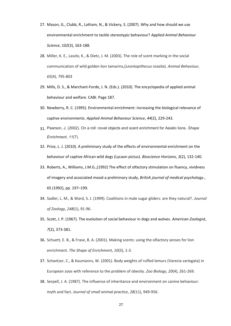- 27. Mason, G., Clubb, R., Latham, N., & Vickery, S. (2007). Why and how should we use environmental enrichment to tackle stereotypic behaviour? *Applied Animal Behaviour Science*, *102*(3), 163-188.
- 28. Miller, K. E., Laszlo, K., & Dietz, J. M. (2003). The role of scent marking in the social communication of wild golden lion tamarins*,*(*Leontopithecus rosalia*). *Animal Behaviour*, *65*(4), 795-803
- 29. Mills, D. S., & Marchant-Forde, J. N. (Eds.). (2010). The encyclopedia of applied animal behaviour and welfare. CABI. Page 187.
- 30. Newberry, R. C. (1995). Environmental enrichment: increasing the biological relevance of captive environments. *Applied Animal Behaviour Science*, *44*(2), 229-243.
- 31. Pearson, J. (2002). On a roll: novel objects and scent enrichment for Asiatic lions. *Shape Enrichment*, *11*(7).
- 32. Price, L. J. (2010). A preliminary study of the effects of environmental enrichment on the behaviour of captive African wild dogs (Lycaon pictus). *Bioscience Horizons*, *3*(2), 132-140.
- 33. Roberts, A., Williams, J.M.G.,(1992) The effect of olfactory stimulation on fluency, vividness of imagery and associated mood-a preliminary study, *British journal of medical psychology*., 65 (1992), pp. 197–199.
- 34. Sadler, L. M., & Ward, S. J. (1999). Coalitions in male sugar gliders: are they natural?. *Journal of Zoology*, *248*(1), 91-96.
- 35. Scott, J. P. (1967). The evolution of social behaviour in dogs and wolves. *American Zoologist*, *7*(2), 373-381.
- 36. Schuett, E. B., & Frase, B. A. (2001). Making scents: using the olfactory senses for lion enrichment. *The Shape of Enrichment*, *10*(3), 1-3.
- 37. Schwitzer, C., & Kaumanns, W. (2001). Body weights of ruffed lemurs (Varecia variegata) in European zoos with reference to the problem of obesity. *Zoo Biology*, *20*(4), 261-269.
- 38. Serpell, J. A. (1987). The influence of inheritance and environment on canine behaviour: myth and fact. *Journal of small animal practice*, *28*(11), 949-956.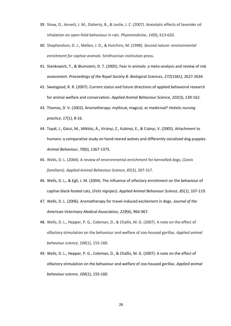- 39. Shaw, D., Annett, J. M., Doherty, B., & Leslie, J. C. (2007). Anxiolytic effects of lavender oil inhalation on open-field behaviour in rats. *Phytomedicine*, *14*(9), 613-620.
- 40. Shepherdson, D. J., Mellen, J. D., & Hutchins, M. (1998). *Second nature: environmental enrichment for captive animals*. Smithsonian institution press.
- 41. Stankowich, T., & Blumstein, D. T. (2005). Fear in animals: a meta-analysis and review of risk assessment. *Proceedings of the Royal Society B: Biological Sciences*, *272*(1581), 2627-2634.
- 42. Swaisgood, R. R. (2007). Current status and future directions of applied behavioral research for animal welfare and conservation. *Applied Animal Behaviour Science*, *102*(3), 139-162.
- 43. Thomas, D. V. (2002). Aromatherapy: mythical, magical, or medicinal? *Holistic nursing practice*, *17*(1), 8-16.
- 44. Topál, J., Gácsi, M., Miklósi, Á., Virányi, Z., Kubinyi, E., & Csányi, V. (2005). Attachment to humans: a comparative study on hand-reared wolves and differently socialized dog puppies. *Animal Behaviour*, *70*(6), 1367-1375.
- 45. Wells, D. L. (2004). A review of environmental enrichment for kennelled dogs, (*Canis familiaris*). *Applied Animal Behaviour Science*, *85*(3), 307-317.
- 46. Wells, D. L., & Egli, J. M. (2004). The influence of olfactory enrichment on the behaviour of captive black-footed cats, (*Felis nigripes*). *Applied Animal Behaviour Science*, *85*(1), 107-119.
- 47. Wells, D. L. (2006). Aromatherapy for travel-induced excitement in dogs. *Journal of the American Veterinary Medical Association*, *229*(6), 964-967.
- 48. Wells, D. L., Hepper, P. G., Coleman, D., & Challis, M. G. (2007). A note on the effect of olfactory stimulation on the behaviour and welfare of zoo-housed gorillas. *Applied animal behaviour science*, *106*(1), 155-160.
- 49. Wells, D. L., Hepper, P. G., Coleman, D., & Challis, M. G. (2007). A note on the effect of olfactory stimulation on the behaviour and welfare of zoo-housed gorillas. *Applied animal behaviour science*, *106*(1), 155-160.